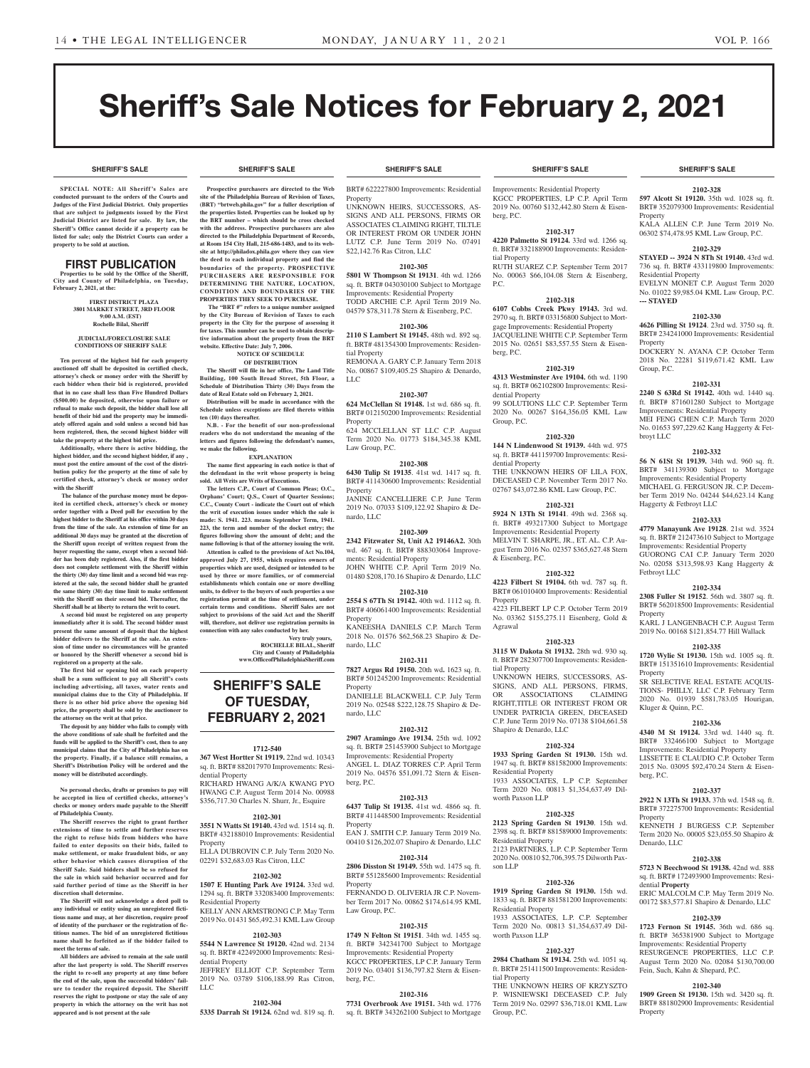**SHERIFF'S SALE SHERIFF'S SALE SHERIFF'S SALE SHERIFF'S SALE SHERIFF'S SALE**

**2102-328 597 Alcott St 19120.** 35th wd. 1028 sq. ft. BRT# 352079300 Improvements: Residential

KALA ALLEN C.P. June Term 2019 No. 06302 \$74,478.95 KML Law Group, P.C. **2102-329 STAYED -- 3924 N 8Th St 19140.** 43rd wd. 736 sq. ft. BRT# 433119800 Improvements:

EVELYN MONET C.P. August Term 2020 No. 01022 \$9,985.04 KML Law Group, P.C.

**2102-330 4626 Pilling St 19124**. 23rd wd. 3750 sq. ft. BRT# 234241000 Improvements: Residential

DOCKERY N. AYANA C.P. October Term 2018 No. 22281 \$119,671.42 KML Law

**2102-331 2240 S 63Rd St 19142.** 40th wd. 1440 sq. ft. BRT# 871601280 Subject to Mortgage Improvements: Residential Property MEI FENG CHEN C.P. March Term 2020 No. 01653 \$97,229.62 Kang Haggerty & Fet-

**2102-332 56 N 61St St 19139.** 34th wd. 960 sq. ft. BRT# 341139300 Subject to Mortgage Improvements: Residential Property MICHAEL G. FERGUSON JR. C.P. December Term 2019 No. 04244 \$44,623.14 Kang

**2102-333 4779 Manayunk Ave 19128**. 21st wd. 3524 sq. ft. BRT# 212473610 Subject to Mortgage Improvements: Residential Property GUORONG CAI C.P. January Term 2020 No. 02058 \$313,598.93 Kang Haggerty &

**2102-334 2308 Fuller St 19152**. 56th wd. 3807 sq. ft. BRT# 562018500 Improvements: Residential

KARL J LANGENBACH C.P. August Term 2019 No. 00168 \$121,854.77 Hill Wallack **2102-335 1720 Wylie St 19130.** 15th wd. 1005 sq. ft. BRT# 151351610 Improvements: Residential

SR SELECTIVE REAL ESTATE ACQUIS-TIONS- PHILLY, LLC C.P. February Term 2020 No. 01939 \$581,783.05 Hourigan,

**2102-336 4340 M St 19124.** 33rd wd. 1440 sq. ft. BRT# 332466100 Subject to Mortgage Improvements: Residential Property LISSETTE E CLAUDIO C.P. October Term 2015 No. 03095 \$92,470.24 Stern & Eisen-

**2102-337 2922 N 13Th St 19133.** 37th wd. 1548 sq. ft. BRT# 372275700 Improvements: Residential

KENNETH J BURGESS C.P. September Term 2020 No. 00005 \$23,055.50 Shapiro &

**2102-338 5723 N Beechwood St 19138.** 42nd wd. 888 sq. ft. BRT# 172493900 Improvements: Resi-

ERIC MALCOLM C.P. May Term 2019 No. 00172 \$83,577.81 Shapiro & Denardo, LLC **2102-339 1723 Fernon St 19145.** 36th wd. 686 sq. ft. BRT# 365381900 Subject to Mortgage Improvements: Residential Property RESURGENCE PROPERTIES LLC C.P. August Term 2020 No. 02084 \$130,700.00 Fein, Such, Kahn & Shepard, P.C.

**2102-340 1909 Green St 19130.** 15th wd. 3420 sq. ft. BRT# 881802900 Improvements: Residential

Property

Residential Property

**--- STAYED**

Property

Group, P.C.

broyt LLC

Haggerty & Fetbroyt LLC

Fetbroyt LLC

Property

Property

berg, P.C.

**Property** 

Denardo, LLC

dential **Property**

Property

Kluger & Quinn, P.C.

# Sheriff's Sale Notices for February 2, 2021

**SPECIAL NOTE: All Sheriff 's Sales are conducted pursuant to the orders of the Courts and Judges of the First Judicial District. Only properties that are subject to judgments issued by the First Judicial District are listed for sale. By law, the Sheriff's Office cannot decide if a property can be listed for sale; only the District Courts can order a property to be sold at auction.** 

#### FIRST PUBLICATION

**Properties to be sold by the Office of the Sheriff, City and County of Philadelphia, on Tuesday, February 2, 2021, at the:** 

> **FIRST DISTRICT PLAZA 3801 MARKET STREET, 3RD FLOOR 9:00 A.M. (EST) Rochelle Bilal, Sheriff**

#### **JUDICIAL/FORECLOSURE SALE CONDITIONS OF SHERIFF SALE**

**Ten percent of the highest bid for each property auctioned off shall be deposited in certified check, attorney's check or money order with the Sheriff by each bidder when their bid is registered, provided that in no case shall less than Five Hundred Dollars (\$500.00) be deposited, otherwise upon failure or refusal to make such deposit, the bidder shall lose all benefit of their bid and the property may be immediately offered again and sold unless a second bid has been registered, then, the second highest bidder will take the property at the highest bid price.**

**Additionally, where there is active bidding, the highest bidder, and the second highest bidder, if any , must post the entire amount of the cost of the distribution policy for the property at the time of sale by certified check, attorney's check or money order with the Sheriff**

 **The balance of the purchase money must be deposited in certified check, attorney's check or money order together with a Deed poll for execution by the highest bidder to the Sheriff at his office within 30 days from the time of the sale. An extension of time for an additional 30 days may be granted at the discretion of the Sheriff upon receipt of written request from the buyer requesting the same, except when a second bidder has been duly registered. Also, if the first bidder does not complete settlement with the Sheriff within the thirty (30) day time limit and a second bid was registered at the sale, the second bidder shall be granted the same thirty (30) day time limit to make settlement with the Sheriff on their second bid. Thereafter, the Sheriff shall be at liberty to return the writ to court.**

**A second bid must be registered on any property immediately after it is sold. The second bidder must present the same amount of deposit that the highest bidder delivers to the Sheriff at the sale. An extension of time under no circumstances will be granted or honored by the Sheriff whenever a second bid is registered on a property at the sale.** 

**The first bid or opening bid on each property shall be a sum sufficient to pay all Sheriff's costs including advertising, all taxes, water rents and municipal claims due to the City of Philadelphia. If there is no other bid price above the opening bid price, the property shall be sold by the auctioneer to the attorney on the writ at that price.**

**The deposit by any bidder who fails to comply with the above conditions of sale shall be forfeited and the funds will be applied to the Sheriff's cost, then to any municipal claims that the City of Philadelphia has on the property. Finally, if a balance still remains, a Sheriff's Distribution Policy will be ordered and the money will be distributed accordingly.**

**No personal checks, drafts or promises to pay will be accepted in lieu of certified checks, attorney's checks or money orders made payable to the Sheriff of Philadelphia County.**

**The Sheriff reserves the right to grant further extensions of time to settle and further reserves the right to refuse bids from bidders who have failed to enter deposits on their bids, failed to make settlement, or make fraudulent bids, or any other behavior which causes disruption of the Sheriff Sale. Said bidders shall be so refused for the sale in which said behavior occurred and for said further period of time as the Sheriff in her discretion shall determine.**

**The Sheriff will not acknowledge a deed poll to any individual or entity using an unregistered fictitious name and may, at her discretion, require proof of identity of the purchaser or the registration of fictitious names. The bid of an unregistered fictitious name shall be forfeited as if the bidder failed to meet the terms of sale.**

**All bidders are advised to remain at the sale until after the last property is sold. The Sheriff reserves the right to re-sell any property at any time before the end of the sale, upon the successful bidders' failure to tender the required deposit. The Sheriff reserves the right to postpone or stay the sale of any property in which the attorney on the writ has not appeared and is not present at the sale**

**Prospective purchasers are directed to the Web site of the Philadelphia Bureau of Revision of Taxes, (BRT) "brtweb.phila.gov" for a fuller description of the properties listed. Properties can be looked up by the BRT number – which should be cross checked with the address. Prospective purchasers are also directed to the Philadelphia Department of Records, at Room 154 City Hall, 215-686-1483, and to its website at http://philadox.phila.gov where they can view the deed to each individual property and find the boundaries of the property. PROSPECTIVE PURCHASERS ARE RESPONSIBLE FOR DETERMINING THE NATURE, LOCATION, CONDITION AND BOUNDARIES OF THE** 

**PROPERTIES THEY SEEK TO PURCHASE. The "BRT #" refers to a unique number assigned by the City Bureau of Revision of Taxes to each property in the City for the purpose of assessing it for taxes. This number can be used to obtain descriptive information about the property from the BRT website. Effective Date: July 7, 2006.**

**NOTICE OF SCHEDULE** 

**OF DISTRIBUTION The Sheriff will file in her office, The Land Title Building, 100 South Broad Street, 5th Floor, a Schedule of Distribution Thirty (30) Days from the date of Real Estate sold on February 2, 2021.**

**Distribution will be made in accordance with the Schedule unless exceptions are filed thereto within ten (10) days thereafter.**

**N.B. - For the benefit of our non-professional readers who do not understand the meaning of the letters and figures following the defendant's names, we make the following. EXPLANATION**

**The name first appearing in each notice is that of the defendant in the writ whose property is being** 

**sold. All Writs are Writs of Executions. The letters C.P., Court of Common Pleas; O.C., Orphans' Court; Q.S., Court of Quarter Sessions; C.C., County Court - indicate the Court out of which the writ of execution issues under which the sale is made: S. 1941. 223. means September Term, 1941. 223, the term and number of the docket entry; the figures following show the amount of debt; and the name following is that of the attorney issuing the writ. Attention is called to the provisions of Act No.104, approved July 27, 1955, which requires owners of properties which are used, designed or intended to be used by three or more families, or of commercial establishments which contain one or more dwelling units, to deliver to the buyers of such properties a use registration permit at the time of settlement, under certain terms and conditions. Sheriff Sales are not subject to provisions of the said Act and the Sheriff will, therefore, not deliver use registration permits in connection with any sales conducted by her.**

**Very truly yours, ROCHELLE BILAL, Sheriff City and County of Philadelphia www.OfficeofPhiladelphiaSheriff.com**

# **SHERIFF'S SALE OF TUESDAY, FEBRUARY 2, 2021**

#### **1712-540**

**367 West Hortter St 19119.** 22nd wd. 10343 sq. ft. BRT# 882017970 Improvements: Residential Property

RICHARD HWANG A/K/A KWANG PYO HWANG C.P. August Term 2014 No. 00988 \$356,717.30 Charles N. Shurr, Jr., Esquire

#### **2102-301**

**3551 N Watts St 19140.** 43rd wd. 1514 sq. ft. BRT# 432188010 Improvements: Residential Property

ELLA DUBROVIN C.P. July Term 2020 No. 02291 \$32,683.03 Ras Citron, LLC

#### **2102-302**

**1507 E Hunting Park Ave 19124.** 33rd wd. 1294 sq. ft. BRT# 332083400 Improvements: Residential Property KELLY ANN ARMSTRONG C.P. May Term

2019 No. 01431 \$65,492.31 KML Law Group **2102-303**

**5544 N Lawrence St 19120.** 42nd wd. 2134 sq. ft. BRT# 422492000 Improvements: Residential Property JEFFREY ELLIOT C.P. September Term

#### 2019 No. 03789 \$106,188.99 Ras Citron,

**2102-304**

LLC

**5335 Darrah St 19124.** 62nd wd. 819 sq. ft.

#### **SHERIFF'S SALE SHERIFF'S SALE SHERIFF'S SALE SHERIFF'S SALE SHERIFF'S SALE**

BRT# 622227800 Improvements: Residential

Property UNKNOWN HEIRS, SUCCESSORS, AS-SIGNS AND ALL PERSONS, FIRMS OR ASSOCIATES CLAIMING RIGHT, TILTLE OR INTEREST FROM OR UNDER JOHN LUTZ C.P. June Term 2019 No. 07491 \$22,142.76 Ras Citron, LLC

#### **2102-305**

**5801 W Thompson St 19131**. 4th wd. 1266 sq. ft. BRT# 043030100 Subject to Mortgage Improvements: Residential Property TODD ARCHIE C.P. April Term 2019 No. 04579 \$78,311.78 Stern & Eisenberg, P.C.

#### **2102-306**

**2110 S Lambert St 19145.** 48th wd. 892 sq. ft. BRT# 481354300 Improvements: Residential Property REMONA A. GARY C.P. January Term 2018 No. 00867 \$109,405.25 Shapiro & Denardo, LLC

#### **2102-307**

**624 McClellan St 19148.** 1st wd. 686 sq. ft. BRT# 012150200 Improvements: Residential Property

624 MCCLELLAN ST LLC C.P. August Term 2020 No. 01773 \$184,345.38 KML Law Group, P.C.

### **2102-308**

**6430 Tulip St 19135**. 41st wd. 1417 sq. ft. BRT# 411430600 Improvements: Residential Property

JANINE CANCELLIERE C.P. June Term 2019 No. 07033 \$109,122.92 Shapiro & Denardo, LLC

#### **2102-309**

**2342 Fitzwater St, Unit A2 19146A2.** 30th wd. 467 sq. ft. BRT# 888303064 Improvements: Residential Property JOHN WHITE C.P. April Term 2019 No. 01480 \$208,170.16 Shapiro & Denardo, LLC

#### **2102-310**

**2554 S 67Th St 19142.** 40th wd. 1112 sq. ft. BRT# 406061400 Improvements: Residential Property

KANEESHA DANIELS C.P. March Term 2018 No. 01576 \$62,568.23 Shapiro & Denardo, LLC

**2102-311**

**7827 Argus Rd 19150.** 20th wd**.** 1623 sq. ft. BRT# 501245200 Improvements: Residential Property

DANIELLE BLACKWELL C.P. July Term 2019 No. 02548 \$222,128.75 Shapiro & Denardo, LLC

#### **2102-312**

**2907 Aramingo Ave 19134.** 25th wd. 1092 sq. ft. BRT# 251453900 Subject to Mortgage Improvements: Residential Property ANGEL L. DIAZ TORRES C.P. April Term 2019 No. 04576 \$51,091.72 Stern & Eisenberg, P.C.

#### **2102-313**

**6437 Tulip St 19135.** 41st wd. 4866 sq. ft. BRT# 411448500 Improvements: Residential Property

EAN J. SMITH C.P. January Term 2019 No. 00410 \$126,202.07 Shapiro & Denardo, LLC

#### **2102-314**

**2806 Disston St 19149.** 55th wd. 1475 sq. ft. BRT# 551285600 Improvements: Residential Property

FERNANDO D. OLIVERIA JR C.P. November Term 2017 No. 00862 \$174,614.95 KML Law Group, P.C.

#### **2102-315**

**1749 N Felton St 19151**. 34th wd. 1455 sq. ft. BRT# 342341700 Subject to Mortgage Improvements: Residential Property KGCC PROPERTIES, LP C.P. January Term 2019 No. 03401 \$136,797.82 Stern & Eisenberg, P.C.

#### **2102-316**

**7731 Overbrook Ave 19151.** 34th wd. 1776 sq. ft. BRT# 343262100 Subject to Mortgage

Improvements: Residential Property KGCC PROPERTIES, LP C.P. April Term 2019 No. 00760 \$132,442.80 Stern & Eisenberg, P.C.

#### **2102-317**

**4220 Palmetto St 19124.** 33rd wd. 1266 sq. ft. BRT# 332188900 Improvements: Residential Property RUTH SUAREZ C.P. September Term 2017 No. 00063 \$66,104.08 Stern & Eisenberg, P.C.

#### **2102-318**

**6107 Cobbs Creek Pkwy 19143.** 3rd wd. 2970 sq. ft. BRT# 033156800 Subject to Mortgage Improvements: Residential Property JACQUELINE WHITE C.P. September Term 2015 No. 02651 \$83,557.55 Stern & Eisenberg, P.C.

#### **2102-319**

**4313 Westminster Ave 19104.** 6th wd. 1190 sq. ft. BRT# 062102800 Improvements: Residential Property 99 SOLUTIONS LLC C.P. September Term 2020 No. 00267 \$164,356.05 KML Law Group, P.C.

#### **2102-320**

**144 N Lindenwood St 19139.** 44th wd. 975 sq. ft. BRT# 441159700 Improvements: Residential Property THE UNKNOWN HEIRS OF LILA FOX, DECEASED C.P. November Term 2017 No. 02767 \$43,072.86 KML Law Group, P.C.

#### **2102-321**

**5924 N 13Th St 19141**. 49th wd. 2368 sq. ft. BRT# 493217300 Subject to Mortgage Improvements: Residential Property MELVIN T. SHARPE, JR., ET. AL. C.P. August Term 2016 No. 02357 \$365,627.48 Stern & Eisenberg, P.C.

#### **2102-322**

**4223 Filbert St 19104.** 6th wd. 787 sq. ft. BRT# 061010400 Improvements: Residential

**Property** 4223 FILBERT LP C.P. October Term 2019 No. 03362 \$155,275.11 Eisenberg, Gold & Agrawal

#### **2102-323**

**3115 W Dakota St 19132.** 28th wd. 930 sq. ft. BRT# 282307700 Improvements: Residential Property UNKNOWN HEIRS, SUCCESSORS, AS-SIGNS, AND ALL PERSONS, FIRMS, OR ASSOCIATIONS CLAIMING OR ASSOCIATIONS

RIGHT,TITLE OR INTEREST FROM OR UNDER PATRICIA GREEN, DECEASED C.P. June Term 2019 No. 07138 \$104,661.58 Shapiro & Denardo, LLC

#### **2102-324**

**1933 Spring Garden St 19130.** 15th wd. 1947 sq. ft. BRT# 881582000 Improvements: Residential Property 1933 ASSOCIATES, L.P C.P. September Term 2020 No. 00813 \$1,354,637.49 Dilworth Paxson LLP

#### **2102-325**

**2123 Spring Garden St 19130**. 15th wd. 2398 sq. ft. BRT# 881589000 Improvements: Residential Property

2123 PARTNERS, L.P. C.P. September Term 2020 No. 00810 \$2,706,395.75 Dilworth Paxson LLP

**2102-326 1919 Spring Garden St 19130.** 15th wd. 1833 sq. ft. BRT# 881581200 Improvements:

1933 ASSOCIATES, L.P. C.P. September Term 2020 No. 00813 \$1,354,637.49 Dil-

**2102-327 2984 Chatham St 19134.** 25th wd. 1051 sq. ft. BRT# 251411500 Improvements: Residen-

THE UNKNOWN HEIRS OF KRZYSZTO P. WISNIEWSKI DECEASED C.P. July Term 2019 No. 02997 \$36,718.01 KML Law

Residential Property

worth Paxson LLP

tial Property

Group, P.C.